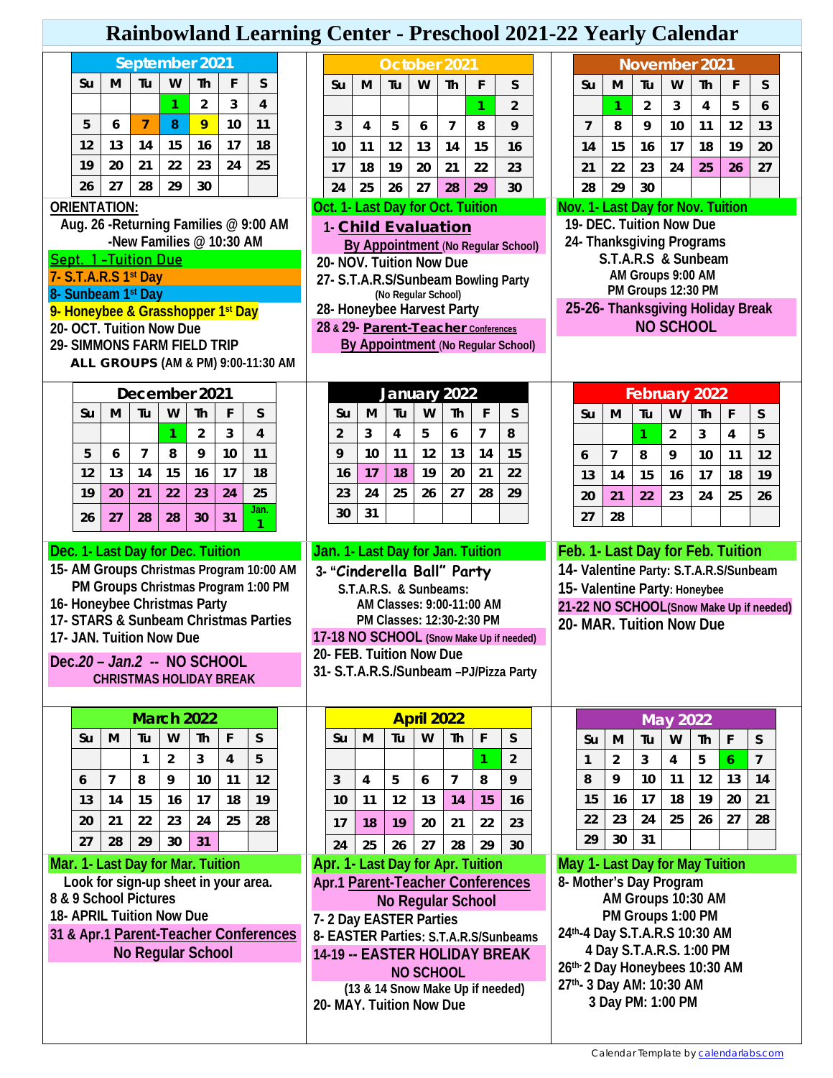## **Rainbowland Learning Center - Preschool 2021-22 Yearly Calendar**

| September 2021                                                     |         |                |                                                                    |                |                     |                         | October 2021 |  |                                                                 |                                    |         |                                     |                   |           |                                   | November 2021                            |  |                   |                                                  |                         |                |                                                    |                                   |    |                                         |  |  |
|--------------------------------------------------------------------|---------|----------------|--------------------------------------------------------------------|----------------|---------------------|-------------------------|--------------|--|-----------------------------------------------------------------|------------------------------------|---------|-------------------------------------|-------------------|-----------|-----------------------------------|------------------------------------------|--|-------------------|--------------------------------------------------|-------------------------|----------------|----------------------------------------------------|-----------------------------------|----|-----------------------------------------|--|--|
|                                                                    | Su      | м              | Tu                                                                 | W              | Th                  | F                       | S            |  |                                                                 | Su                                 | м       | Tu                                  | W                 | <b>Th</b> | F                                 | S                                        |  |                   | Su                                               | M                       | Tu             | W                                                  | Th                                | F  | S                                       |  |  |
|                                                                    |         |                |                                                                    | 1              | $\overline{2}$      | 3                       | 4            |  |                                                                 |                                    |         |                                     |                   |           | 1                                 | $\overline{2}$                           |  |                   |                                                  | 1                       | $\overline{2}$ | 3                                                  | 4                                 | 5  | 6                                       |  |  |
|                                                                    | 5       | 6              | $\overline{7}$                                                     | 8              | 9                   | 10                      | 11           |  |                                                                 | 3                                  | 4       | 5                                   | 6                 | 7         | 8                                 | 9                                        |  |                   | $\overline{7}$                                   | 8                       | 9              | 10                                                 | 11                                | 12 | 13                                      |  |  |
|                                                                    | 12      | 13             | 14                                                                 | 15             | 16                  | 17                      | 18           |  |                                                                 | 10                                 | 11      | 12                                  | 13                | 14        | 15                                | 16                                       |  |                   | 14                                               | 15                      | 16             | 17                                                 | 18                                | 19 | 20                                      |  |  |
|                                                                    | 19      | 20             | 21                                                                 | 22             | 23                  | 24                      | 25           |  |                                                                 | 17                                 | 18      | 19                                  | 20                | 21        | 22                                | 23                                       |  |                   | 21                                               | 22                      | 23             | 24                                                 | 25                                | 26 | 27                                      |  |  |
|                                                                    | 26      | 27             | 28                                                                 | 29             | 30                  |                         |              |  |                                                                 | 24                                 | 25      | 26                                  | 27                | 28        | 29                                | 30                                       |  |                   | 28                                               | 29                      | 30             |                                                    |                                   |    |                                         |  |  |
| <b>ORIENTATION:</b>                                                |         |                |                                                                    |                |                     |                         |              |  |                                                                 |                                    |         | Oct. 1- Last Day for Oct. Tuition   |                   |           |                                   |                                          |  |                   |                                                  |                         |                | Nov. 1- Last Day for Nov. Tuition                  |                                   |    |                                         |  |  |
| Aug. 26 - Returning Families @ 9:00 AM<br>-New Families @ 10:30 AM |         |                |                                                                    |                |                     |                         |              |  |                                                                 | 1- Child Evaluation                |         |                                     |                   |           |                                   |                                          |  |                   | 19- DEC. Tuition Now Due                         |                         |                |                                                    |                                   |    |                                         |  |  |
| <b>Sept. 1-Tuition Due</b>                                         |         |                |                                                                    |                |                     |                         |              |  |                                                                 | By Appointment (No Regular School) |         |                                     |                   |           |                                   |                                          |  |                   | 24- Thanksgiving Programs<br>S.T.A.R.S & Sunbeam |                         |                |                                                    |                                   |    |                                         |  |  |
| 7- S.T.A.R.S 1st Day                                               |         |                |                                                                    |                |                     |                         |              |  | 20- NOV. Tuition Now Due<br>27- S.T.A.R.S/Sunbeam Bowling Party |                                    |         |                                     |                   |           |                                   |                                          |  | AM Groups 9:00 AM |                                                  |                         |                |                                                    |                                   |    |                                         |  |  |
|                                                                    |         |                | 8- Sunbeam 1st Day                                                 |                |                     |                         |              |  |                                                                 |                                    |         | (No Regular School)                 |                   |           |                                   |                                          |  |                   |                                                  |                         |                | PM Groups 12:30 PM                                 |                                   |    |                                         |  |  |
|                                                                    |         |                | 9- Honeybee & Grasshopper 1 <sup>st</sup> Day                      |                |                     |                         |              |  |                                                                 |                                    |         | 28- Honeybee Harvest Party          |                   |           |                                   |                                          |  |                   |                                                  |                         |                | 25-26- Thanksgiving Holiday Break                  |                                   |    |                                         |  |  |
|                                                                    |         |                | 20- OCT. Tuition Now Due<br><b>29- SIMMONS FARM FIELD TRIP</b>     |                |                     |                         |              |  |                                                                 |                                    |         | 28 & 29- Parent-Teacher Conferences |                   |           |                                   | By Appointment (No Regular School)       |  |                   |                                                  |                         |                | <b>NO SCHOOL</b>                                   |                                   |    |                                         |  |  |
|                                                                    |         |                | ALL GROUPS (AM & PM) 9:00-11:30 AM                                 |                |                     |                         |              |  |                                                                 |                                    |         |                                     |                   |           |                                   |                                          |  |                   |                                                  |                         |                |                                                    |                                   |    |                                         |  |  |
|                                                                    |         |                |                                                                    |                |                     |                         |              |  |                                                                 |                                    |         |                                     |                   |           |                                   |                                          |  |                   |                                                  |                         |                |                                                    |                                   |    |                                         |  |  |
|                                                                    |         |                | December 2021                                                      |                |                     |                         |              |  |                                                                 |                                    |         | January 2022                        |                   |           |                                   |                                          |  | February 2022     |                                                  |                         |                |                                                    |                                   |    |                                         |  |  |
|                                                                    | Su      | M              | Tu                                                                 | W              | Th                  | F                       | S            |  |                                                                 | Su                                 | M       | Tu                                  | W                 | Th        | F                                 | S                                        |  |                   | Su                                               | M                       | Tu             | W                                                  | <b>Th</b>                         | F  | S                                       |  |  |
|                                                                    |         | 6              | 7                                                                  | 1<br>8         | $\overline{2}$<br>9 | 3<br>10                 | 4<br>11      |  |                                                                 | $\overline{2}$<br>9                | 3<br>10 | 4<br>11                             | 5<br>12           | 6<br>13   | 7<br>14                           | 8<br>15                                  |  |                   |                                                  |                         | 1              | $\overline{2}$                                     | 3                                 | 4  | 5                                       |  |  |
|                                                                    | 5<br>12 | 13             | 14                                                                 | 15             | 16                  | 17                      | 18           |  |                                                                 | 16                                 | 17      | 18                                  | 19                | 20        | 21                                | 22                                       |  |                   | 6                                                | 7                       | 8              | 9                                                  | 10                                | 11 | 12                                      |  |  |
|                                                                    | 19      | 20             | 21                                                                 | 22             | 23                  | 24                      | 25           |  |                                                                 | 23                                 | 24      | 25                                  | 26                | 27        | 28                                | 29                                       |  |                   | 13                                               | 14                      | 15             | 16                                                 | 17                                | 18 | 19                                      |  |  |
|                                                                    |         |                |                                                                    |                |                     |                         | Jan.         |  |                                                                 | 30                                 | 31      |                                     |                   |           |                                   |                                          |  |                   | 20                                               | 21                      | 22             | 23                                                 | 24                                | 25 | 26                                      |  |  |
|                                                                    | 26      | 27             | 28                                                                 | 28             | 30                  | 31                      | 1            |  |                                                                 |                                    |         |                                     |                   |           |                                   |                                          |  |                   | 27                                               | 28                      |                |                                                    |                                   |    |                                         |  |  |
| Dec. 1- Last Day for Dec. Tuition                                  |         |                |                                                                    |                |                     |                         |              |  |                                                                 |                                    |         |                                     |                   |           |                                   |                                          |  |                   |                                                  |                         |                |                                                    |                                   |    |                                         |  |  |
|                                                                    |         |                |                                                                    |                |                     |                         |              |  |                                                                 |                                    |         |                                     |                   |           | Jan. 1- Last Day for Jan. Tuition |                                          |  |                   |                                                  |                         |                |                                                    | Feb. 1- Last Day for Feb. Tuition |    |                                         |  |  |
|                                                                    |         |                | 15- AM Groups Christmas Program 10:00 AM                           |                |                     |                         |              |  |                                                                 |                                    |         | 3- "Cinderella Ball" Party          |                   |           |                                   |                                          |  |                   |                                                  |                         |                |                                                    |                                   |    | 14- Valentine Party: S.T.A.R.S/Sunbeam  |  |  |
|                                                                    |         |                | PM Groups Christmas Program 1:00 PM                                |                |                     |                         |              |  |                                                                 |                                    |         | S.T.A.R.S. & Sunbeams:              |                   |           |                                   |                                          |  |                   |                                                  |                         |                | 15- Valentine Party: Honeybee                      |                                   |    |                                         |  |  |
|                                                                    |         |                | 16- Honeybee Christmas Party                                       |                |                     |                         |              |  |                                                                 |                                    |         | AM Classes: 9:00-11:00 AM           |                   |           |                                   |                                          |  |                   |                                                  |                         |                |                                                    |                                   |    | 21-22 NO SCHOOL(Snow Make Up if needed) |  |  |
|                                                                    |         |                | 17- STARS & Sunbeam Christmas Parties<br>17- JAN. Tuition Now Due  |                |                     |                         |              |  |                                                                 |                                    |         | PM Classes: 12:30-2:30 PM           |                   |           |                                   | 17-18 NO SCHOOL (Snow Make Up if needed) |  |                   |                                                  |                         |                | 20- MAR. Tuition Now Due                           |                                   |    |                                         |  |  |
|                                                                    |         |                |                                                                    |                |                     |                         |              |  |                                                                 |                                    |         | 20- FEB. Tuition Now Due            |                   |           |                                   |                                          |  |                   |                                                  |                         |                |                                                    |                                   |    |                                         |  |  |
|                                                                    |         |                | Dec.20 - Jan.2 -- NO SCHOOL<br><b>CHRISTMAS HOLIDAY BREAK</b>      |                |                     |                         |              |  |                                                                 |                                    |         |                                     |                   |           |                                   | 31- S.T.A.R.S./Sunbeam -PJ/Pizza Party   |  |                   |                                                  |                         |                |                                                    |                                   |    |                                         |  |  |
|                                                                    |         |                |                                                                    |                |                     |                         |              |  |                                                                 |                                    |         |                                     |                   |           |                                   |                                          |  |                   |                                                  |                         |                |                                                    |                                   |    |                                         |  |  |
|                                                                    |         |                |                                                                    |                | <b>March 2022</b>   |                         |              |  |                                                                 |                                    |         |                                     | <b>April 2022</b> |           |                                   |                                          |  |                   |                                                  |                         |                | <b>May 2022</b>                                    |                                   |    |                                         |  |  |
|                                                                    | Su      | M              | Tu                                                                 | W              | Th                  | F                       | S            |  |                                                                 | Su                                 | M       | Tu                                  | W                 | Th        | F                                 | S                                        |  |                   | Su                                               | M                       | Tu             | W                                                  | Th                                | F  | S                                       |  |  |
|                                                                    |         |                | $\mathbf{1}$                                                       | $\overline{2}$ | 3                   | $\overline{\mathbf{4}}$ | 5            |  |                                                                 |                                    |         |                                     |                   |           |                                   | $\overline{2}$                           |  |                   | 1                                                | $\overline{\mathbf{c}}$ | 3              | 4                                                  | 5                                 | 6  | $\overline{7}$                          |  |  |
|                                                                    | 6       | $\overline{7}$ | 8                                                                  | 9              | 10                  | 11                      | 12           |  |                                                                 | 3                                  | 4       | 5                                   | 6                 | 7         | 8                                 | 9                                        |  |                   | 8                                                | 9                       | 10             | 11                                                 | 12                                | 13 | 14                                      |  |  |
|                                                                    | 13      | 14             | 15                                                                 | 16             | 17                  | 18                      | 19           |  |                                                                 | 10                                 | 11      | 12                                  | 13                | 14        | 15                                | 16                                       |  |                   | 15                                               | 16                      | 17             | 18                                                 | 19                                | 20 | 21                                      |  |  |
|                                                                    | 20      | 21             | 22                                                                 | 23             | 24                  | 25                      | 28           |  |                                                                 | 17                                 | 18      | 19                                  | 20                | 21        | 22                                | 23                                       |  |                   | 22                                               | 23                      | 24             | 25                                                 | 26                                | 27 | 28                                      |  |  |
|                                                                    | 27      | 28             | 29                                                                 | 30             | 31                  |                         |              |  |                                                                 | 24                                 | 25      | 26                                  | 27                | 28        | 29                                | 30                                       |  |                   | 29                                               | 30                      | 31             |                                                    |                                   |    |                                         |  |  |
|                                                                    |         |                | Mar. 1- Last Day for Mar. Tuition                                  |                |                     |                         |              |  |                                                                 |                                    |         | Apr. 1- Last Day for Apr. Tuition   |                   |           |                                   |                                          |  |                   |                                                  |                         |                | May 1- Last Day for May Tuition                    |                                   |    |                                         |  |  |
|                                                                    |         |                | Look for sign-up sheet in your area.                               |                |                     |                         |              |  |                                                                 |                                    |         |                                     |                   |           |                                   | Apr.1 Parent-Teacher Conferences         |  |                   |                                                  |                         |                | 8- Mother's Day Program                            |                                   |    |                                         |  |  |
|                                                                    |         |                | 8 & 9 School Pictures                                              |                |                     |                         |              |  |                                                                 |                                    |         | No Regular School                   |                   |           |                                   |                                          |  |                   |                                                  |                         |                | AM Groups 10:30 AM                                 |                                   |    |                                         |  |  |
|                                                                    |         |                | 18- APRIL Tuition Now Due<br>31 & Apr.1 Parent-Teacher Conferences |                |                     |                         |              |  |                                                                 |                                    |         | 7-2 Day EASTER Parties              |                   |           |                                   | 8- EASTER Parties: S.T.A.R.S/Sunbeams    |  |                   |                                                  |                         |                | PM Groups 1:00 PM<br>24th-4 Day S.T.A.R.S 10:30 AM |                                   |    |                                         |  |  |
|                                                                    |         |                | No Regular School                                                  |                |                     |                         |              |  |                                                                 |                                    |         |                                     |                   |           |                                   | 14-19 -- EASTER HOLIDAY BREAK            |  |                   |                                                  |                         |                | 4 Day S.T.A.R.S. 1:00 PM                           |                                   |    |                                         |  |  |
|                                                                    |         |                |                                                                    |                |                     |                         |              |  |                                                                 |                                    |         |                                     | <b>NO SCHOOL</b>  |           |                                   |                                          |  |                   |                                                  |                         |                | 26th-2 Day Honeybees 10:30 AM                      |                                   |    |                                         |  |  |
|                                                                    |         |                |                                                                    |                |                     |                         |              |  |                                                                 |                                    |         | (13 & 14 Snow Make Up if needed)    |                   |           |                                   |                                          |  |                   |                                                  |                         |                | 27th- 3 Day AM: 10:30 AM                           |                                   |    |                                         |  |  |
|                                                                    |         |                |                                                                    |                |                     |                         |              |  |                                                                 |                                    |         | 20- MAY. Tuition Now Due            |                   |           |                                   |                                          |  |                   |                                                  |                         |                | 3 Day PM: 1:00 PM                                  |                                   |    |                                         |  |  |